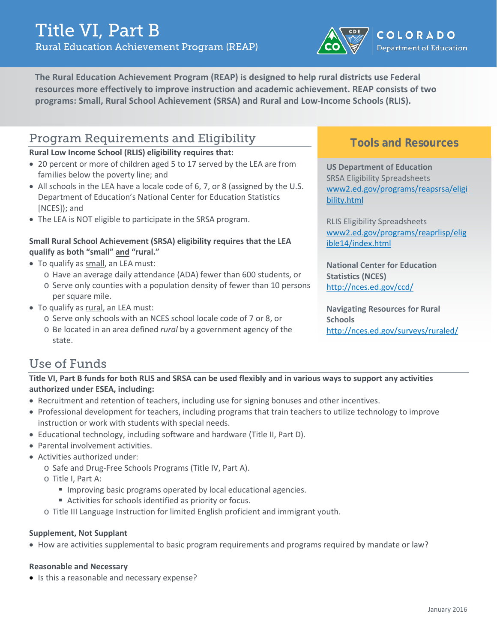

**The Rural Education Achievement Program (REAP) is designed to help rural districts use Federal resources more effectively to improve instruction and academic achievement. REAP consists of two programs: Small, Rural School Achievement (SRSA) and Rural and Low-Income Schools (RLIS).**

### Program Requirements and Eligibility

#### **Rural Low Income School (RLIS) eligibility requires that:**

- 20 percent or more of children aged 5 to 17 served by the LEA are from families below the poverty line; and
- All schools in the LEA have a locale code of 6, 7, or 8 (assigned by the U.S. Department of Education's National Center for Education Statistics [NCES]); and
- The LEA is NOT eligible to participate in the SRSA program.

#### **Small Rural School Achievement (SRSA) eligibility requires that the LEA qualify as both "small" and "rural."**

- To qualify as small, an LEA must:
	- o Have an average daily attendance (ADA) fewer than 600 students, or o Serve only counties with a population density of fewer than 10 persons
	- per square mile.
- To qualify as rural, an LEA must:
	- o Serve only schools with an NCES school locale code of 7 or 8, or
		- o Be located in an area defined *rural* by a government agency of the state.

### **Tools and Resources**

**US Department of Education** SRSA Eligibility Spreadsheets [www2.ed.gov/programs/reapsrsa/eligi](http://www2.ed.gov/programs/reapsrsa/eligibility.html) [bility.html](http://www2.ed.gov/programs/reapsrsa/eligibility.html)

RLIS Eligibility Spreadsheets [www2.ed.gov/programs/reaprlisp/elig](http://www2.ed.gov/programs/reaprlisp/eligible14/index.html) [ible14/index.html](http://www2.ed.gov/programs/reaprlisp/eligible14/index.html)

**National Center for Education Statistics (NCES)** <http://nces.ed.gov/ccd/>

**Navigating Resources for Rural Schools** <http://nces.ed.gov/surveys/ruraled/>

## Use of Funds

**Title VI, Part B funds for both RLIS and SRSA can be used flexibly and in various ways to support any activities authorized under ESEA, including:**

- Recruitment and retention of teachers, including use for signing bonuses and other incentives.
- Professional development for teachers, including programs that train teachers to utilize technology to improve instruction or work with students with special needs.
- Educational technology, including software and hardware (Title II, Part D).
- Parental involvement activities.
- Activities authorized under:
	- o Safe and Drug-Free Schools Programs (Title IV, Part A).
	- o Title I, Part A:
		- **IMPROPIED BRIGHTS IMMOGET EDGIOR INCORDING** Improving basic programs operators of local educational agencies.
		- Activities for schools identified as priority or focus.
	- o Title III Language Instruction for limited English proficient and immigrant youth.

#### **Supplement, Not Supplant**

• How are activities supplemental to basic program requirements and programs required by mandate or law?

#### **Reasonable and Necessary**

• Is this a reasonable and necessary expense?